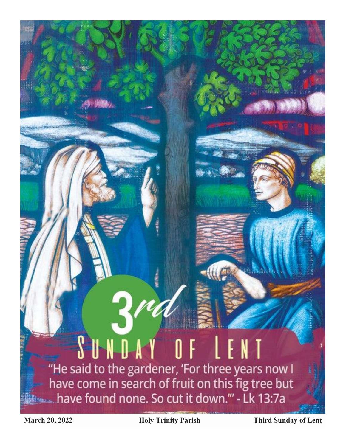## SUNDAY OF LENT "He said to the gardener, 'For three years now I have come in search of fruit on this fig tree but Monday to have found none. So cut it down."' - Lk 13:7a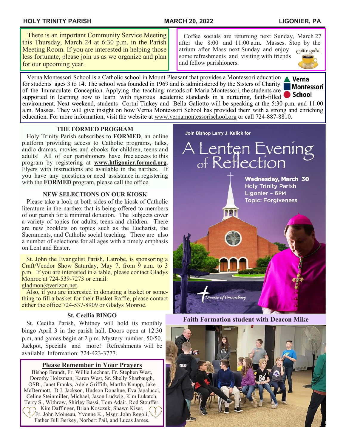#### **HOLY TRINITY PARISH MARCH 20, 2022 LIGONIER, PA**

#### $\overline{a}$  There is an important Community Service Meeting this Thursday, March 24 at 6:30 p.m. in the Parish Meeting Room. If you are interested in helping those less fortunate, please join us as we organize and plan for our upcoming year.

j Coffee socials are returning next Sunday, March 27 after the 8:00 and 11:00 a.m. Masses. Stop by the atrium after Mass next Sunday and enjoy Coffee cocial some refreshments and visiting with friends and fellow parishioners.

 Verna Montessori School is a Catholic school in Mount Pleasant that provides a Montessori education Verna for students ages 3 to 14. The school was founded in 1969 and is administered by the Sisters of Charity **Montessori** of the Immaculate Conception. Applying the teaching metods of Maria Montessori, the students are School supported in learning how to learn with rigorous academic standards in a nurturing, faith-filled environment. Next weekend, students Cortni Tinkey and Bella Galiotto will be speaking at the 5:30 p.m. and 11:00 a.m. Masses. They will give insight on how Verna Montessori School has provided them with a strong and enriching education. For more information, visit the website at [www.vernamontessorischool.org](https://nam02.safelinks.protection.outlook.com/?url=http%3A%2F%2Fwww.vernamontessorischool.org%2F&data=04%7C01%7Caevangeliste%40dioceseofgreensburg.org%7C7b141d04996a4247b1bf08da0682f4e5%7C0d053169069f4b0d9812ae9a9f652d46%7C0%7C0%7C637829456893533135%7CUnknow) or call 724-887-8810.

#### **THE FORMED PROGRAM**

 Holy Trinity Parish subscribes to **FORMED**, an online platform providing access to Catholic programs, talks, audio dramas, movies and ebooks for children, teens and adults! All of our parishioners have free access to this program by registering at **www.htligonier.formed.org**. Flyers with instructions are available in the narthex. If you have any questions or need assistance in registering with the **FORMED** program, please call the office.

#### **NEW SELECTIONS ON OUR KIOSK**

 Please take a look at both sides of the kiosk of Catholic literature in the narthex that is being offered to members of our parish for a minimal donation. The subjects cover a variety of topics for adults, teens and children. There are new booklets on topics such as the Eucharist, the Sacraments, and Catholic social teaching. There are also a number of selections for all ages with a timely emphasis on Lent and Easter.

 St. John the Evangelist Parish, Latrobe, is sponsoring a Craft/Vendor Show Saturday, May 7, from 9 a.m. to 3 p.m. If you are interested in a table, please contact Gladys Monroe at 724-539-7273 or email:

[gladmon@verizon.net.](mailto:gladmon@verizon.net)

 Also, if you are interested in donating a basket or something to fill a basket for their Basket Raffle, please contact either the office 724-537-8909 or Gladys Monroe.

#### **St. Cecilia BINGO**

 St. Cecilia Parish, Whitney will hold its monthly bingo April 3 in the parish hall. Doors open at 12:30 p.m, and games begin at 2 p.m. Mystery number, 50/50, Jackpot, Specials and more! Refreshments will be available. Information: 724-423-3777.

#### **Please Remember in Your Prayers**

Bishop Brandt, Fr. Willie Lechnar, Fr. Stephen West, Dorothy Holtzman, Karen West, Sr. Shelly Sharbaugh, OSB., Janet Franks, Adele Griffith, Martha Knupp, Jake McDermott, D.J. Jackson, Hudson Donahue, Eva Japalucci, Celine Steinmiller, Michael, Jason Ludwig, Kim Lukatch, Terry S., Withrow, Shirley Bassi, Tom Adair, Rod Stouffer, Kim Daffinger, Brian Kosczuk, Shawn Kiser, Fr. John Moineau, Yvonne K., Msgr. John Regoli, Father Bill Berkey, Norbert Pail, and Lucas James.

Join Bishop Larry J. Kulick for

# A Lenten Evening<br>of Reflection **Wednesday, March 30 Holy Trinity Parish** Ligonier - 6PM **Topic: Forgiveness 121** Diocese of Greensburg

#### **Faith Formation student with Deacon Mike**



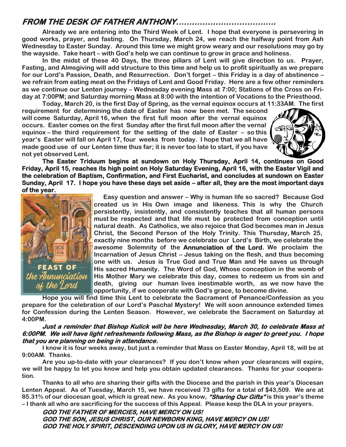## **FROM THE DESK OF FATHER ANTHONY………………………………..**

**Already we are entering into the Third Week of Lent. I hope that everyone is persevering in good works, prayer, and fasting. On Thursday, March 24, we reach the halfway point from Ash Wednesday to Easter Sunday. Around this time we might grow weary and our resolutions may go by the wayside. Take heart – with God's help we can continue to grow in grace and holiness.** 

**In the midst of these 40 Days, the three pillars of Lent will give direction to us. Prayer, Fasting, and Almsgiving will add structure to this time and help us to profit spiritually as we prepare for our Lord's Passion, Death, and Resurrection. Don't forget – this Friday is a day of abstinence – we refrain from eating meat on the Fridays of Lent and Good Friday. Here are a few other reminders as we continue our Lenten journey – Wednesday evening Mass at 7:00; Stations of the Cross on Friday at 7:00PM; and Saturday morning Mass at 8:00 with the intention of Vocations to the Priesthood.** 

**Today, March 20, is the first Day of Spring, as the vernal equinox occurs at 11:33AM. The first requirement for determining the date of Easter has now been met. The second will come Saturday, April 16, when the first full moon after the vernal equinox occurs. Easter comes on the first Sunday after the first full moon after the vernal equinox – the third requirement for the setting of the date of Easter – so this year's Easter will fall on April 17, four weeks from today. I hope that we all have made good use of our Lenten time thus far; it is never too late to start, if you have not yet observed Lent.**



**The Easter Triduum begins at sundown on Holy Thursday, April 14, continues on Good Friday, April 15, reaches its high point on Holy Saturday Evening, April 16, with the Easter Vigil and the celebration of Baptism, Confirmation, and First Eucharist, and concludes at sundown on Easter Sunday, April 17. I hope you have these days set aside – after all, they are the most important days of the year.** 



**Easy question and answer – Why is human life so sacred? Because God created us in His Own image and likeness. This is why the Church persistently, insistently, and consistently teaches that all human persons must be respected and that life must be protected from conception until natural death. As Catholics, we also rejoice that God becomes man in Jesus Christ, the Second Person of the Holy Trinity. This Thursday, March 25, exactly nine months before we celebrate our Lord's Birth, we celebrate the awesome Solemnity of the Annunciation of the Lord. We proclaim the Incarnation of Jesus Christ – Jesus taking on the flesh, and thus becoming one with us. Jesus is True God and True Man and He saves us through FEAST OF** His sacred Humanity. The Word of God, Whose conception in the womb of *the Annunciation* His Mother Mary we celebrate this day, comes to redeem us from sin and  **His Mother Mary we celebrate this day, comes to redeem us from sin and death, giving our human lives inestimable worth, as we now have the**  *of the Lord* death, giving our human lives inestimable worth, as we no<br>opportunity, if we cooperate with God's grace, to become divine.

**Hope you will find time this Lent to celebrate the Sacrament of Penance/Confession as you prepare for the celebration of our Lord's Paschal Mystery! We will soon announce extended times for Confession during the Lenten Season. However, we celebrate the Sacrament on Saturday at 4:00PM.**

#### **Just a reminder that Bishop Kulick will be here Wednesday, March 30, to celebrate Mass at 6:00PM. We will have light refreshments following Mass, as the Bishop is eager to greet you. I hope that you are planning on being in attendance.**

**I know it is four weeks away, but just a reminder that Mass on Easter Monday, April 18, will be at 9:00AM. Thanks.**

**Are you up-to-date with your clearances? If you don't know when your clearances will expire, we will be happy to let you know and help you obtain updated clearances. Thanks for your cooperation.**

**Thanks to all who are sharing their gifts with the Diocese and the parish in this year's Diocesan Lenten Appeal. As of Tuesday, March 15, we have received 73 gifts for a total of \$43,509. We are at 85.31% of our diocesan goal, which is great new. As you know, "Sharing Our Gifts" is this year's theme – I thank all who are sacrificing for the success of this Appeal. Please keep the DLA in your prayers.**

**GOD THE FATHER OF MERCIES, HAVE MERCY ON US! GOD THE SON, JESUS CHRIST, OUR NEWBORN KING, HAVE MERCY ON US! GOD THE HOLY SPIRIT, DESCENDING UPON US IN GLORY, HAVE MERCY ON US!**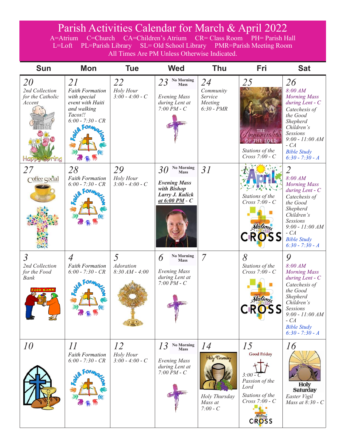## Parish Activities Calendar for March & April 2022

A=Atrium C=Church CA=Children's Atrium CR= Class Room PH= Parish Hall L=Loft PL=Parish Library SL= Old School Library PMR=Parish Meeting Room All Times Are PM Unless Otherwise Indicated.

| <b>Sun</b>                                                                             | <b>Mon</b>                                                                                                               | <b>Tue</b>                           | <b>Wed</b>                                                                                                        | <b>Thu</b>                                                    | Fri                                                                                                                                    | <b>Sat</b>                                                                                                                                                                                                             |
|----------------------------------------------------------------------------------------|--------------------------------------------------------------------------------------------------------------------------|--------------------------------------|-------------------------------------------------------------------------------------------------------------------|---------------------------------------------------------------|----------------------------------------------------------------------------------------------------------------------------------------|------------------------------------------------------------------------------------------------------------------------------------------------------------------------------------------------------------------------|
| <i>20</i><br>2nd Collection<br>for the Catholic<br>Accent                              | 21<br><b>Faith Formation</b><br>with special<br>event with Haiti<br>and walking<br>Tacos!!<br>$6:00 - 7:30 - CR$<br>Form | 22<br>Holy Hour<br>$3:00 - 4:00 - C$ | <b>No Morning</b><br>23<br><b>Mass</b><br><b>Evening Mass</b><br>during Lent at<br>$7:00$ PM $- C$                | 24<br>Community<br>Service<br>Meeting<br>$6:30$ - $PMR$       | 25<br>unciation<br>THE LORD<br>Stations of the<br>$Cross 7:00 - C$                                                                     | 26<br>8:00 AM<br><b>Morning Mass</b><br>during Lent - C<br>Catechesis of<br>the Good<br>Shepherd<br>Children's<br><b>Sessions</b><br>$9:00 - 11:00 AM$<br>$-CA$<br><b>Bible Study</b><br>$6:30 - 7:30 - A$             |
| 27<br>Coffee cocial                                                                    | 28<br><b>Faith Formation</b><br>$6:00 - 7:30 - CR$                                                                       | 29<br>Holy Hour<br>$3:00 - 4:00 - C$ | <b>No Morning</b><br>30<br><b>Mass</b><br><b>Evening Mass</b><br>with Bishop<br>Larry J. Kulick<br>at 6:00 PM - C | 31                                                            | Stations of the<br>$Cross 7:00 - C$<br>Stations<br><b>CROSS</b>                                                                        | $\overline{2}$<br>8:00 AM<br><b>Morning Mass</b><br>during Lent - C<br>Catechesis of<br>the Good<br>Shepherd<br>Children's<br><b>Sessions</b><br>$9:00 - 11:00 AM$<br>$-CA$<br><b>Bible Study</b><br>$6:30 - 7:30 - A$ |
| $\overline{3}$<br>2nd Collection<br>for the Food<br><b>Bank</b><br><b>OOD BAN</b><br>乡 | $\overline{A}$<br><b>Faith Formation</b><br>$6:00 - 7:30 - CR$                                                           | 5<br>Adoration<br>$8:30 AM - 4:00$   | <b>No Morning</b><br>6<br><b>Mass</b><br><b>Evening Mass</b><br>during Lent at<br>$7:00\,\overline{P}M$ - $C$     | $\overline{7}$                                                | 8<br>Stations of the<br>Cross 7:00 - C<br>Stations<br><b>CROSS</b>                                                                     | 9<br>8:00 AM<br><b>Morning Mass</b><br>during Lent - $C$<br>Catechesis of<br>the Good<br>Shepherd<br>Children's<br>Sessions<br>$9:00 - 11:00 AM$<br>$-CA$<br><b>Bible Study</b><br>$6:30 - 7:30 - A$                   |
| 10                                                                                     | II<br><b>Faith Formation</b><br>$6:00 - 7:30 - CR$                                                                       | 12<br>Holy Hour<br>$3:00 - 4:00 - C$ | <b>No Morning</b><br>13<br><b>Mass</b><br><b>Evening Mass</b><br>during Lent at<br>$7:00\,\overline{P}M - C$      | 14<br>Holy Thursday<br>Holy Thursday<br>Mass at<br>$7:00 - C$ | 15<br><b>Good Friday</b><br>$3:00-C$<br>Passion of the<br>Lord<br>Stations of the<br>$Cross 7:00 - C$<br>.<br>Stations<br><b>CROSS</b> | 16<br><b>Holy</b><br><b>Saturday</b><br>Easter Vigil<br>Mass at 8:30 - C                                                                                                                                               |